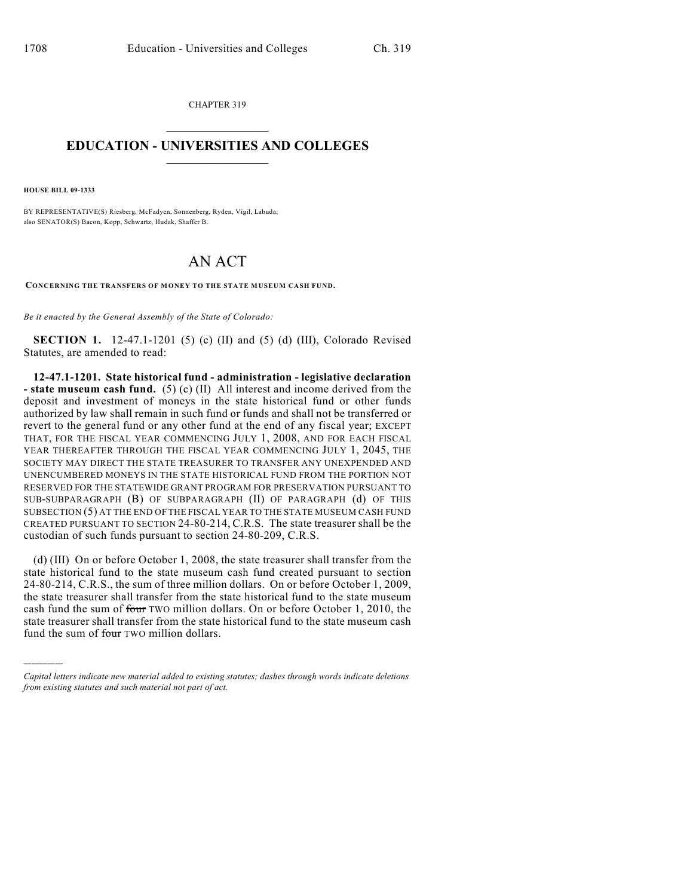CHAPTER 319  $\mathcal{L}_\text{max}$  . The set of the set of the set of the set of the set of the set of the set of the set of the set of the set of the set of the set of the set of the set of the set of the set of the set of the set of the set

## **EDUCATION - UNIVERSITIES AND COLLEGES**  $\_$

**HOUSE BILL 09-1333**

)))))

BY REPRESENTATIVE(S) Riesberg, McFadyen, Sonnenberg, Ryden, Vigil, Labuda; also SENATOR(S) Bacon, Kopp, Schwartz, Hudak, Shaffer B.

## AN ACT

**CONCERNING THE TRANSFERS OF MONEY TO THE STATE MUSEUM CASH FUND.**

*Be it enacted by the General Assembly of the State of Colorado:*

**SECTION 1.** 12-47.1-1201 (5) (c) (II) and (5) (d) (III), Colorado Revised Statutes, are amended to read:

**12-47.1-1201. State historical fund - administration - legislative declaration - state museum cash fund.** (5) (c) (II) All interest and income derived from the deposit and investment of moneys in the state historical fund or other funds authorized by law shall remain in such fund or funds and shall not be transferred or revert to the general fund or any other fund at the end of any fiscal year; EXCEPT THAT, FOR THE FISCAL YEAR COMMENCING JULY 1, 2008, AND FOR EACH FISCAL YEAR THEREAFTER THROUGH THE FISCAL YEAR COMMENCING JULY 1, 2045, THE SOCIETY MAY DIRECT THE STATE TREASURER TO TRANSFER ANY UNEXPENDED AND UNENCUMBERED MONEYS IN THE STATE HISTORICAL FUND FROM THE PORTION NOT RESERVED FOR THE STATEWIDE GRANT PROGRAM FOR PRESERVATION PURSUANT TO SUB-SUBPARAGRAPH (B) OF SUBPARAGRAPH (II) OF PARAGRAPH (d) OF THIS SUBSECTION (5) AT THE END OF THE FISCAL YEAR TO THE STATE MUSEUM CASH FUND CREATED PURSUANT TO SECTION 24-80-214, C.R.S. The state treasurer shall be the custodian of such funds pursuant to section 24-80-209, C.R.S.

(d) (III) On or before October 1, 2008, the state treasurer shall transfer from the state historical fund to the state museum cash fund created pursuant to section 24-80-214, C.R.S., the sum of three million dollars. On or before October 1, 2009, the state treasurer shall transfer from the state historical fund to the state museum cash fund the sum of four TWO million dollars. On or before October 1, 2010, the state treasurer shall transfer from the state historical fund to the state museum cash fund the sum of four TWO million dollars.

*Capital letters indicate new material added to existing statutes; dashes through words indicate deletions from existing statutes and such material not part of act.*